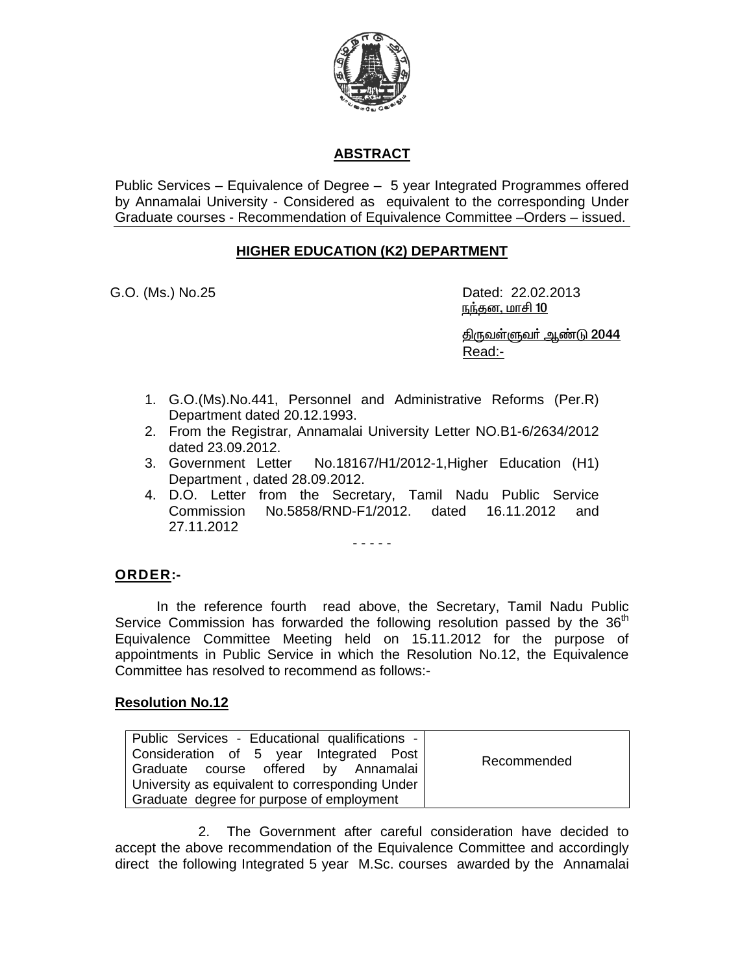

# **ABSTRACT**

Public Services – Equivalence of Degree – 5 year Integrated Programmes offered by Annamalai University - Considered as equivalent to the corresponding Under Graduate courses - Recommendation of Equivalence Committee –Orders – issued.

## **HIGHER EDUCATION (K2) DEPARTMENT**

G.O. (Ms.) No.25 Dated: 22.02.2013 <u>நந்தன, மாசி 10</u>

> <u> திருவள்ளுவர் ஆண்டு 2044</u> Read:-

- 1. G.O.(Ms).No.441, Personnel and Administrative Reforms (Per.R) Department dated 20.12.1993.
- 2. From the Registrar, Annamalai University Letter NO.B1-6/2634/2012 dated 23.09.2012.
- 3. Government Letter No.18167/H1/2012-1,Higher Education (H1) Department , dated 28.09.2012.
- 4. D.O. Letter from the Secretary, Tamil Nadu Public Service Commission No.5858/RND-F1/2012. dated 16.11.2012 and 27.11.2012

- - - - -

### **ORDER:-**

 In the reference fourth read above, the Secretary, Tamil Nadu Public Service Commission has forwarded the following resolution passed by the  $36<sup>th</sup>$ Equivalence Committee Meeting held on 15.11.2012 for the purpose of appointments in Public Service in which the Resolution No.12, the Equivalence Committee has resolved to recommend as follows:-

### **Resolution No.12**

| Public Services - Educational qualifications -  |             |
|-------------------------------------------------|-------------|
| Consideration of 5 year Integrated Post         | Recommended |
| Graduate course offered by Annamalai            |             |
| University as equivalent to corresponding Under |             |
| Graduate degree for purpose of employment       |             |

 2. The Government after careful consideration have decided to accept the above recommendation of the Equivalence Committee and accordingly direct the following Integrated 5 year M.Sc. courses awarded by the Annamalai